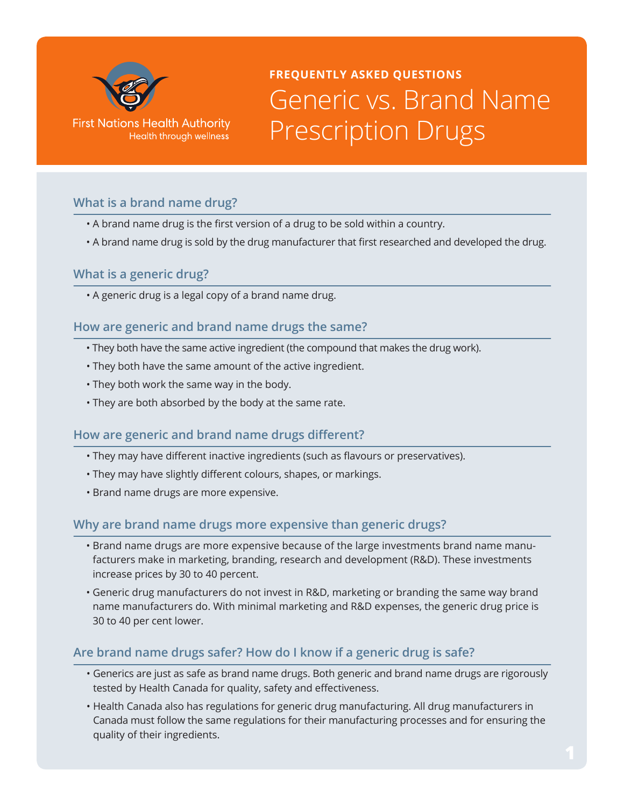

# **FREQUENTLY ASKED QUESTIONS** Generic vs. Brand Name Prescription Drugs

## **What is a brand name drug?**

- A brand name drug is the first version of a drug to be sold within a country.
- A brand name drug is sold by the drug manufacturer that first researched and developed the drug.

#### **What is a generic drug?**

• A generic drug is a legal copy of a brand name drug.

## **How are generic and brand name drugs the same?**

- They both have the same active ingredient (the compound that makes the drug work).
- They both have the same amount of the active ingredient.
- They both work the same way in the body.
- They are both absorbed by the body at the same rate.

#### **How are generic and brand name drugs different?**

- They may have different inactive ingredients (such as flavours or preservatives).
- They may have slightly different colours, shapes, or markings.
- Brand name drugs are more expensive.

#### **Why are brand name drugs more expensive than generic drugs?**

- Brand name drugs are more expensive because of the large investments brand name manufacturers make in marketing, branding, research and development (R&D). These investments increase prices by 30 to 40 percent.
- Generic drug manufacturers do not invest in R&D, marketing or branding the same way brand name manufacturers do. With minimal marketing and R&D expenses, the generic drug price is 30 to 40 per cent lower.

#### **Are brand name drugs safer? How do I know if a generic drug is safe?**

- Generics are just as safe as brand name drugs. Both generic and brand name drugs are rigorously tested by Health Canada for quality, safety and effectiveness.
- Health Canada also has regulations for generic drug manufacturing. All drug manufacturers in Canada must follow the same regulations for their manufacturing processes and for ensuring the quality of their ingredients.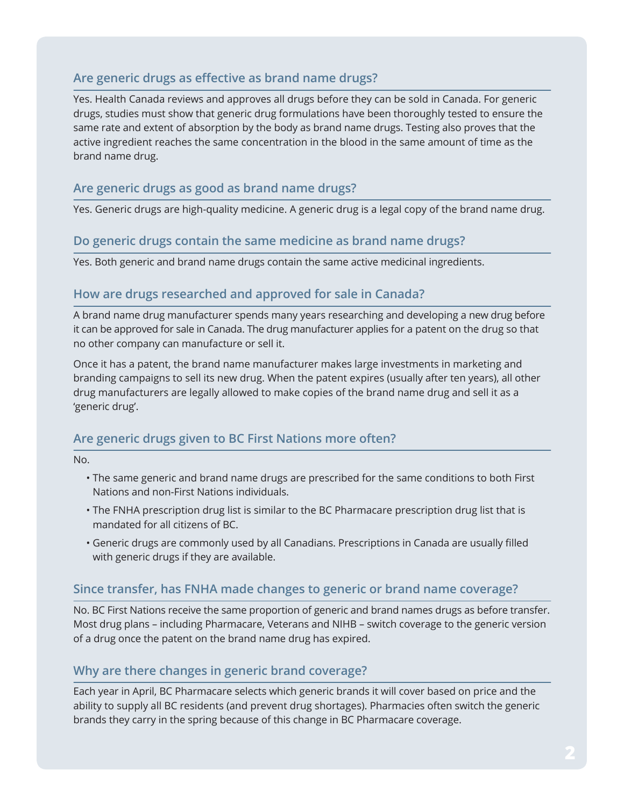# **Are generic drugs as effective as brand name drugs?**

Yes. Health Canada reviews and approves all drugs before they can be sold in Canada. For generic drugs, studies must show that generic drug formulations have been thoroughly tested to ensure the same rate and extent of absorption by the body as brand name drugs. Testing also proves that the active ingredient reaches the same concentration in the blood in the same amount of time as the brand name drug.

## **Are generic drugs as good as brand name drugs?**

Yes. Generic drugs are high-quality medicine. A generic drug is a legal copy of the brand name drug.

#### **Do generic drugs contain the same medicine as brand name drugs?**

Yes. Both generic and brand name drugs contain the same active medicinal ingredients.

#### **How are drugs researched and approved for sale in Canada?**

A brand name drug manufacturer spends many years researching and developing a new drug before it can be approved for sale in Canada. The drug manufacturer applies for a patent on the drug so that no other company can manufacture or sell it.

Once it has a patent, the brand name manufacturer makes large investments in marketing and branding campaigns to sell its new drug. When the patent expires (usually after ten years), all other drug manufacturers are legally allowed to make copies of the brand name drug and sell it as a 'generic drug'.

#### **Are generic drugs given to BC First Nations more often?**

No.

- The same generic and brand name drugs are prescribed for the same conditions to both First Nations and non-First Nations individuals.
- The FNHA prescription drug list is similar to the BC Pharmacare prescription drug list that is mandated for all citizens of BC.
- Generic drugs are commonly used by all Canadians. Prescriptions in Canada are usually filled with generic drugs if they are available.

#### **Since transfer, has FNHA made changes to generic or brand name coverage?**

No. BC First Nations receive the same proportion of generic and brand names drugs as before transfer. Most drug plans – including Pharmacare, Veterans and NIHB – switch coverage to the generic version of a drug once the patent on the brand name drug has expired.

#### **Why are there changes in generic brand coverage?**

Each year in April, BC Pharmacare selects which generic brands it will cover based on price and the ability to supply all BC residents (and prevent drug shortages). Pharmacies often switch the generic brands they carry in the spring because of this change in BC Pharmacare coverage.